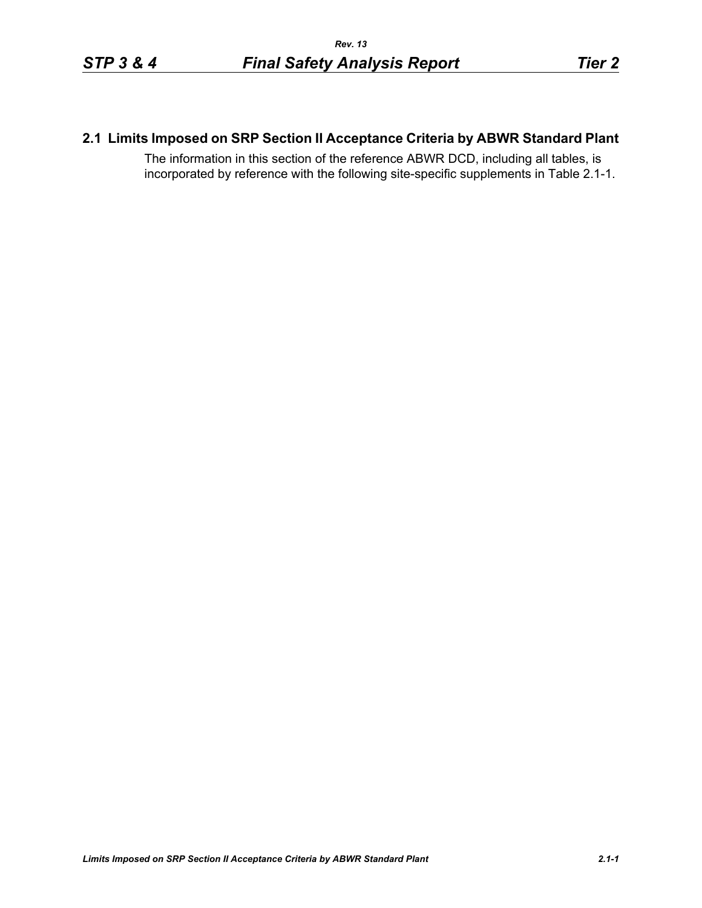### **2.1 Limits Imposed on SRP Section II Acceptance Criteria by ABWR Standard Plant**

The information in this section of the reference ABWR DCD, including all tables, is incorporated by reference with the following site-specific supplements in Table [2.1-1.](#page-1-0)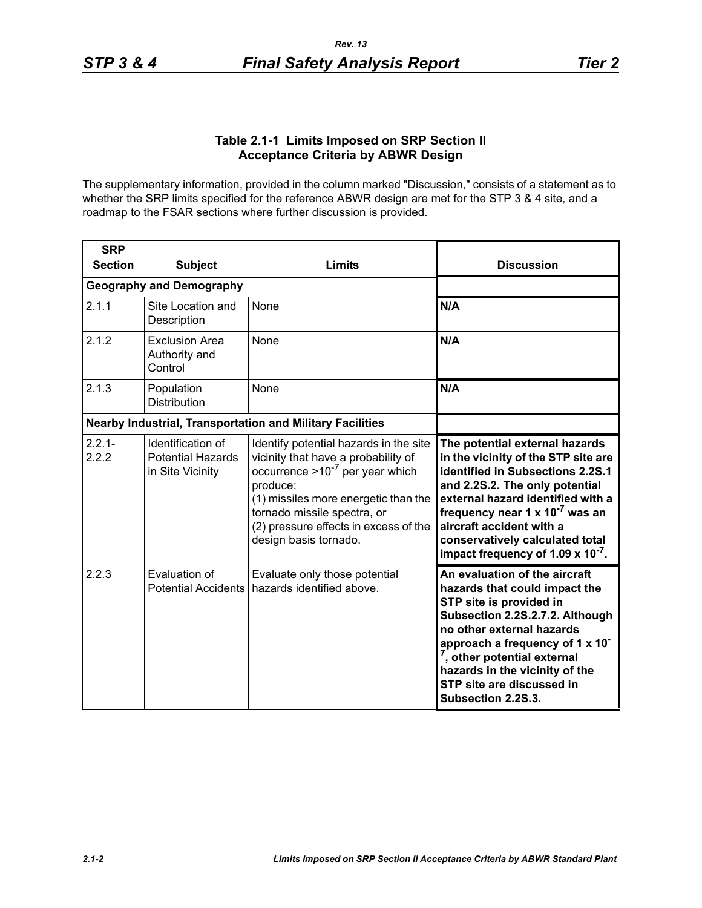### **Table 2.1-1 Limits Imposed on SRP Section II Acceptance Criteria by ABWR Design**

<span id="page-1-0"></span>The supplementary information, provided in the column marked "Discussion," consists of a statement as to whether the SRP limits specified for the reference ABWR design are met for the STP 3 & 4 site, and a roadmap to the FSAR sections where further discussion is provided.

| <b>SRP</b>         |                                                                   |                                                                                                                                                                                                                                                                            |                                                                                                                                                                                                                                                                                                                                                       |
|--------------------|-------------------------------------------------------------------|----------------------------------------------------------------------------------------------------------------------------------------------------------------------------------------------------------------------------------------------------------------------------|-------------------------------------------------------------------------------------------------------------------------------------------------------------------------------------------------------------------------------------------------------------------------------------------------------------------------------------------------------|
| <b>Section</b>     | <b>Subject</b>                                                    | <b>Limits</b>                                                                                                                                                                                                                                                              | <b>Discussion</b>                                                                                                                                                                                                                                                                                                                                     |
|                    | <b>Geography and Demography</b>                                   |                                                                                                                                                                                                                                                                            |                                                                                                                                                                                                                                                                                                                                                       |
| 2.1.1              | Site Location and<br>Description                                  | None                                                                                                                                                                                                                                                                       | N/A                                                                                                                                                                                                                                                                                                                                                   |
| 2.1.2              | <b>Exclusion Area</b><br>Authority and<br>Control                 | <b>None</b>                                                                                                                                                                                                                                                                | N/A                                                                                                                                                                                                                                                                                                                                                   |
| 2.1.3              | Population<br><b>Distribution</b>                                 | None                                                                                                                                                                                                                                                                       | N/A                                                                                                                                                                                                                                                                                                                                                   |
|                    | <b>Nearby Industrial, Transportation and Military Facilities</b>  |                                                                                                                                                                                                                                                                            |                                                                                                                                                                                                                                                                                                                                                       |
| $2.2.1 -$<br>2.2.2 | Identification of<br><b>Potential Hazards</b><br>in Site Vicinity | Identify potential hazards in the site<br>vicinity that have a probability of<br>occurrence $>10^{-7}$ per year which<br>produce:<br>(1) missiles more energetic than the<br>tornado missile spectra, or<br>(2) pressure effects in excess of the<br>design basis tornado. | The potential external hazards<br>in the vicinity of the STP site are<br>identified in Subsections 2.2S.1<br>and 2.2S.2. The only potential<br>external hazard identified with a<br>frequency near 1 x 10 <sup>-7</sup> was an<br>aircraft accident with a<br>conservatively calculated total<br>impact frequency of 1.09 $\times$ 10 <sup>-7</sup> . |
| 2.2.3              | Evaluation of<br><b>Potential Accidents</b>                       | Evaluate only those potential<br>hazards identified above.                                                                                                                                                                                                                 | An evaluation of the aircraft<br>hazards that could impact the<br>STP site is provided in<br>Subsection 2.2S.2.7.2. Although<br>no other external hazards<br>approach a frequency of 1 x 10 <sup>-</sup><br>, other potential external<br>hazards in the vicinity of the<br>STP site are discussed in<br>Subsection 2.2S.3.                           |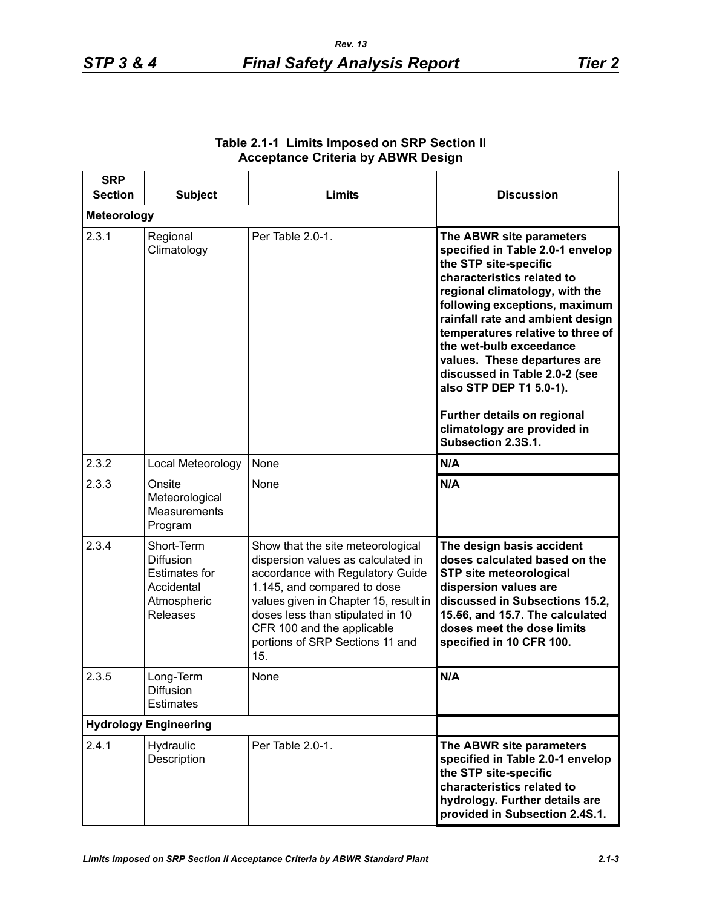| <b>SRP</b><br><b>Section</b> | <b>Subject</b>                                                                                         | Limits                                                                                                                                                                                                                                                                                          | <b>Discussion</b>                                                                                                                                                                                                                                                                                                                                                                                                                                                          |
|------------------------------|--------------------------------------------------------------------------------------------------------|-------------------------------------------------------------------------------------------------------------------------------------------------------------------------------------------------------------------------------------------------------------------------------------------------|----------------------------------------------------------------------------------------------------------------------------------------------------------------------------------------------------------------------------------------------------------------------------------------------------------------------------------------------------------------------------------------------------------------------------------------------------------------------------|
| <b>Meteorology</b>           |                                                                                                        |                                                                                                                                                                                                                                                                                                 |                                                                                                                                                                                                                                                                                                                                                                                                                                                                            |
| 2.3.1                        | Regional<br>Climatology                                                                                | Per Table 2.0-1.                                                                                                                                                                                                                                                                                | The ABWR site parameters<br>specified in Table 2.0-1 envelop<br>the STP site-specific<br>characteristics related to<br>regional climatology, with the<br>following exceptions, maximum<br>rainfall rate and ambient design<br>temperatures relative to three of<br>the wet-bulb exceedance<br>values. These departures are<br>discussed in Table 2.0-2 (see<br>also STP DEP T1 5.0-1).<br>Further details on regional<br>climatology are provided in<br>Subsection 2.3S.1. |
| 2.3.2                        | Local Meteorology                                                                                      | None                                                                                                                                                                                                                                                                                            | N/A                                                                                                                                                                                                                                                                                                                                                                                                                                                                        |
| 2.3.3                        | Onsite<br>Meteorological<br>Measurements<br>Program                                                    | None                                                                                                                                                                                                                                                                                            | N/A                                                                                                                                                                                                                                                                                                                                                                                                                                                                        |
| 2.3.4                        | Short-Term<br><b>Diffusion</b><br><b>Estimates for</b><br>Accidental<br>Atmospheric<br><b>Releases</b> | Show that the site meteorological<br>dispersion values as calculated in<br>accordance with Regulatory Guide<br>1.145, and compared to dose<br>values given in Chapter 15, result in<br>doses less than stipulated in 10<br>CFR 100 and the applicable<br>portions of SRP Sections 11 and<br>15. | The design basis accident<br>doses calculated based on the<br><b>STP site meteorological</b><br>dispersion values are<br>discussed in Subsections 15.2,<br>15.56, and 15.7. The calculated<br>doses meet the dose limits<br>specified in 10 CFR 100.                                                                                                                                                                                                                       |
| 2.3.5                        | Long-Term<br>Diffusion<br><b>Estimates</b>                                                             | None                                                                                                                                                                                                                                                                                            | N/A                                                                                                                                                                                                                                                                                                                                                                                                                                                                        |
| <b>Hydrology Engineering</b> |                                                                                                        |                                                                                                                                                                                                                                                                                                 |                                                                                                                                                                                                                                                                                                                                                                                                                                                                            |
| 2.4.1                        | Hydraulic<br>Description                                                                               | Per Table 2.0-1.                                                                                                                                                                                                                                                                                | The ABWR site parameters<br>specified in Table 2.0-1 envelop<br>the STP site-specific<br>characteristics related to<br>hydrology. Further details are<br>provided in Subsection 2.4S.1.                                                                                                                                                                                                                                                                                    |

## **Table 2.1-1 Limits Imposed on SRP Section II Acceptance Criteria by ABWR Design**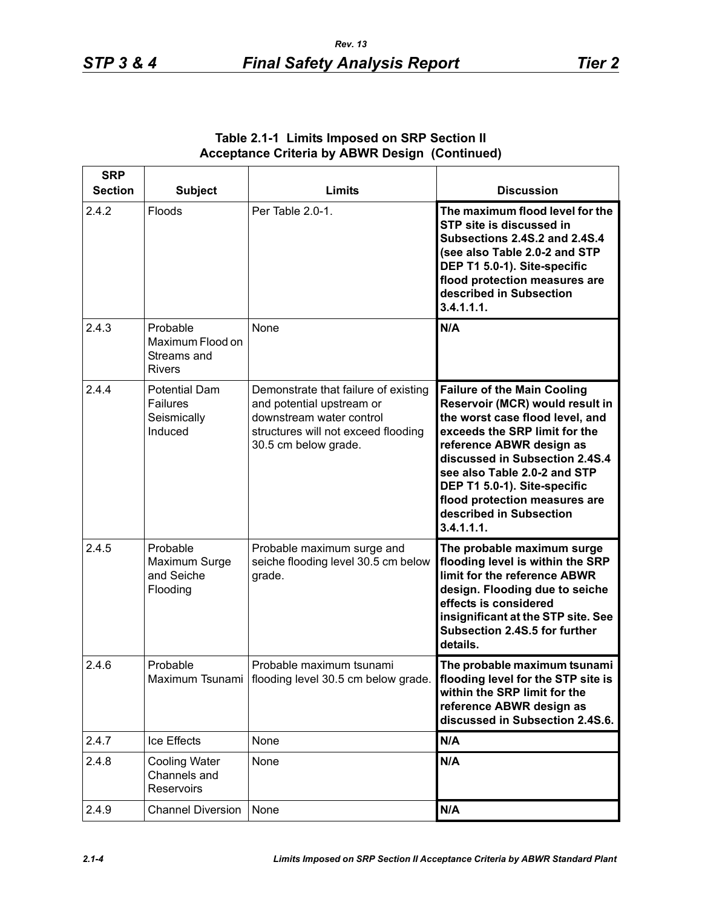| <b>SRP</b>     |                                                              |                                                                                                                                                              |                                                                                                                                                                                                                                                                                                                                                   |
|----------------|--------------------------------------------------------------|--------------------------------------------------------------------------------------------------------------------------------------------------------------|---------------------------------------------------------------------------------------------------------------------------------------------------------------------------------------------------------------------------------------------------------------------------------------------------------------------------------------------------|
| <b>Section</b> | <b>Subject</b>                                               | <b>Limits</b>                                                                                                                                                | <b>Discussion</b>                                                                                                                                                                                                                                                                                                                                 |
| 2.4.2          | Floods                                                       | Per Table 2.0-1.                                                                                                                                             | The maximum flood level for the<br>STP site is discussed in<br>Subsections 2.4S.2 and 2.4S.4<br>(see also Table 2.0-2 and STP<br>DEP T1 5.0-1). Site-specific<br>flood protection measures are<br>described in Subsection<br>3.4.1.1.1.                                                                                                           |
| 2.4.3          | Probable<br>Maximum Flood on<br>Streams and<br><b>Rivers</b> | None                                                                                                                                                         | N/A                                                                                                                                                                                                                                                                                                                                               |
| 2.4.4          | <b>Potential Dam</b><br>Failures<br>Seismically<br>Induced   | Demonstrate that failure of existing<br>and potential upstream or<br>downstream water control<br>structures will not exceed flooding<br>30.5 cm below grade. | <b>Failure of the Main Cooling</b><br>Reservoir (MCR) would result in<br>the worst case flood level, and<br>exceeds the SRP limit for the<br>reference ABWR design as<br>discussed in Subsection 2.4S.4<br>see also Table 2.0-2 and STP<br>DEP T1 5.0-1). Site-specific<br>flood protection measures are<br>described in Subsection<br>3.4.1.1.1. |
| 2.4.5          | Probable<br>Maximum Surge<br>and Seiche<br>Flooding          | Probable maximum surge and<br>seiche flooding level 30.5 cm below<br>grade.                                                                                  | The probable maximum surge<br>flooding level is within the SRP<br>limit for the reference ABWR<br>design. Flooding due to seiche<br>effects is considered<br>insignificant at the STP site. See<br>Subsection 2.4S.5 for further<br>details.                                                                                                      |
| 2.4.6          | Probable                                                     | Probable maximum tsunami<br>Maximum Tsunami   flooding level 30.5 cm below grade.                                                                            | The probable maximum tsunami<br>flooding level for the STP site is<br>within the SRP limit for the<br>reference ABWR design as<br>discussed in Subsection 2.4S.6.                                                                                                                                                                                 |
| 2.4.7          | Ice Effects                                                  | None                                                                                                                                                         | N/A                                                                                                                                                                                                                                                                                                                                               |
| 2.4.8          | <b>Cooling Water</b><br>Channels and<br><b>Reservoirs</b>    | None                                                                                                                                                         | N/A                                                                                                                                                                                                                                                                                                                                               |
| 2.4.9          | Channel Diversion   None                                     |                                                                                                                                                              | N/A                                                                                                                                                                                                                                                                                                                                               |

# **Table 2.1-1 Limits Imposed on SRP Section II Acceptance Criteria by ABWR Design (Continued)**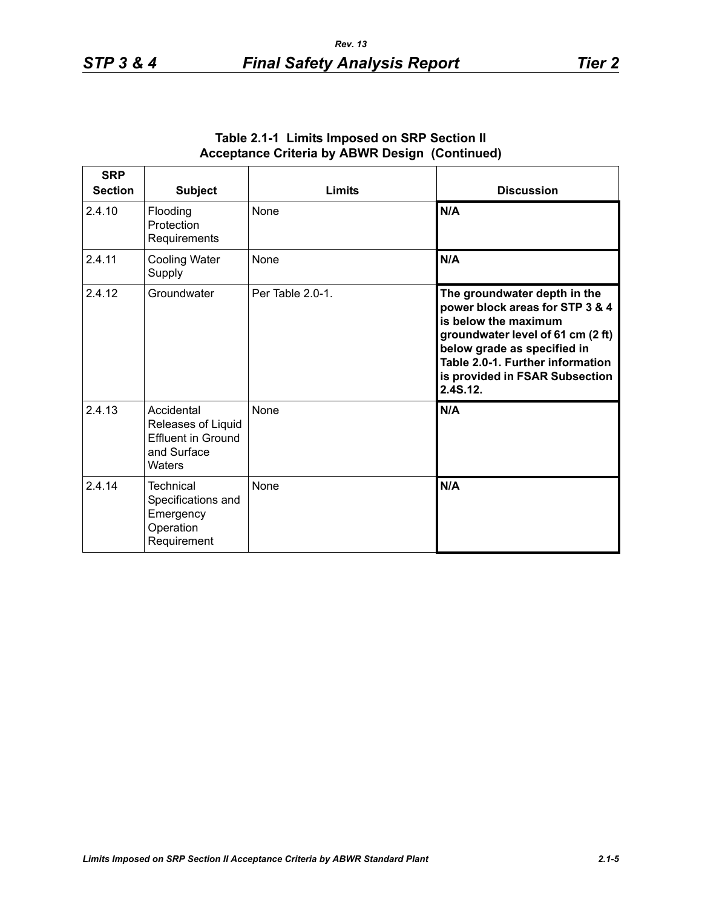| <b>SRP</b><br><b>Section</b> | <b>Subject</b>                                                                         | <b>Limits</b>    | <b>Discussion</b>                                                                                                                                                                                                                             |
|------------------------------|----------------------------------------------------------------------------------------|------------------|-----------------------------------------------------------------------------------------------------------------------------------------------------------------------------------------------------------------------------------------------|
| 2.4.10                       | Flooding<br>Protection<br>Requirements                                                 | None             | N/A                                                                                                                                                                                                                                           |
| 2.4.11                       | Cooling Water<br>Supply                                                                | None             | N/A                                                                                                                                                                                                                                           |
| 2.4.12                       | Groundwater                                                                            | Per Table 2.0-1. | The groundwater depth in the<br>power block areas for STP 3 & 4<br>is below the maximum<br>groundwater level of 61 cm (2 ft)<br>below grade as specified in<br>Table 2.0-1. Further information<br>is provided in FSAR Subsection<br>2.4S.12. |
| 2.4.13                       | Accidental<br>Releases of Liquid<br><b>Effluent in Ground</b><br>and Surface<br>Waters | None             | N/A                                                                                                                                                                                                                                           |
| 2.4.14                       | <b>Technical</b><br>Specifications and<br>Emergency<br>Operation<br>Requirement        | <b>None</b>      | N/A                                                                                                                                                                                                                                           |

### **Table 2.1-1 Limits Imposed on SRP Section II Acceptance Criteria by ABWR Design (Continued)**